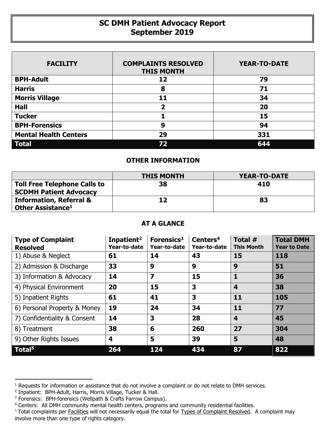## **SC DMH Patient Advocacy Report September 2019**

| <b>FACILITY</b>              | <b>COMPLAINTS RESOLVED</b><br><b>THIS MONTH</b> | <b>YEAR-TO-DATE</b> |
|------------------------------|-------------------------------------------------|---------------------|
| <b>BPH-Adult</b>             | 12                                              | 79                  |
| <b>Harris</b>                | 8                                               | 71                  |
| <b>Morris Village</b>        | 11                                              | 34                  |
| <b>Hall</b>                  | 2                                               | 20                  |
| <b>Tucker</b>                |                                                 | 15                  |
| <b>BPH-Forensics</b>         | 9                                               | 94                  |
| <b>Mental Health Centers</b> | 29                                              | 331                 |
| <b>Total</b>                 | 72                                              | 644                 |

## **OTHER INFORMATION**

|                                                                      | <b>THIS MONTH</b> | YEAR-TO-DATE |
|----------------------------------------------------------------------|-------------------|--------------|
| <b>Toll Free Telephone Calls to</b><br><b>SCDMH Patient Advocacy</b> | 38                | 410          |
| <b>Information, Referral &amp;</b><br>Other Assistance <sup>1</sup>  | 12                | 83           |

## **AT A GLANCE**

| <b>Type of Complaint</b><br><b>Resolved</b> | Inpatient <sup>2</sup><br>Year-to-date | Forensics <sup>3</sup><br>Year-to-date | Centers <sup>4</sup><br>Year-to-date | Total #<br><b>This Month</b> | <b>Total DMH</b><br><b>Year to Date</b> |
|---------------------------------------------|----------------------------------------|----------------------------------------|--------------------------------------|------------------------------|-----------------------------------------|
| 1) Abuse & Neglect                          | 61                                     | 14                                     | 43                                   | 15                           | 118                                     |
| 2) Admission & Discharge                    | 33                                     | 9                                      | 9                                    | 9                            | 51                                      |
| 3) Information & Advocacy                   | 14                                     | $\overline{\mathbf{z}}$                | 15                                   | 1                            | 36                                      |
| 4) Physical Environment                     | 20                                     | 15                                     | 3                                    | $\overline{\mathbf{4}}$      | 38                                      |
| 5) Inpatient Rights                         | 61                                     | 41                                     | 3                                    | 11                           | 105                                     |
| 6) Personal Property & Money                | 19                                     | 24                                     | 34                                   | 11                           | 77                                      |
| 7) Confidentiality & Consent                | 14                                     | 3                                      | 28                                   | $\overline{\mathbf{4}}$      | 45                                      |
| 8) Treatment                                | 38                                     | 6                                      | 260                                  | 27                           | 304                                     |
| 9) Other Rights Issues                      | 4                                      | 5                                      | 39                                   | 5                            | 48                                      |
| Total <sup>5</sup>                          | 264                                    | 124                                    | 434                                  | 87                           | 822                                     |

 $\overline{a}$ 

<sup>&</sup>lt;sup>1</sup> Requests for information or assistance that do not involve a complaint or do not relate to DMH services.

<sup>2</sup> Inpatient: BPH-Adult, Harris, Morris Village, Tucker & Hall.

<sup>&</sup>lt;sup>3</sup> Forensics: BPH-forensics (Wellpath & Crafts Farrow Campus).

<sup>&</sup>lt;sup>4</sup> Centers: All DMH community mental health centers, programs and community residential facilities.

<sup>&</sup>lt;sup>5</sup> Total complaints per Facilities will not necessarily equal the total for Types of Complaint Resolved. A complaint may involve more than one type of rights category.